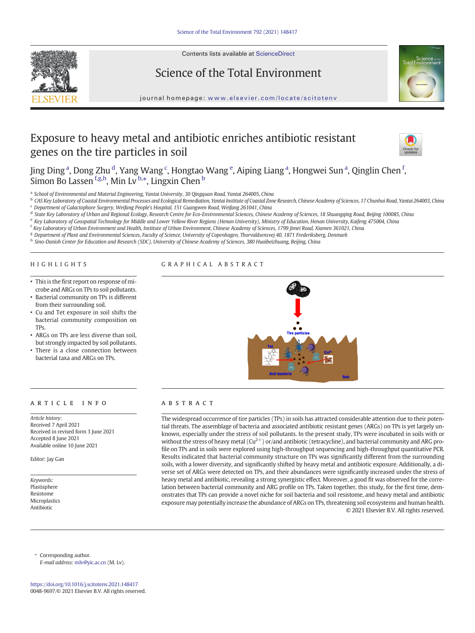

Contents lists available at ScienceDirect

# Science of the Total Environment



journal homepage: <www.elsevier.com/locate/scitotenv>

# Exposure to heavy metal and antibiotic enriches antibiotic resistant genes on the tire particles in soil



Jing Ding <sup>a</sup>, Dong Zhu <sup>d</sup>, Yang Wang <sup>c</sup>, Hongtao Wang <sup>e</sup>, Aiping Liang <sup>a</sup>, Hongwei Sun <sup>a</sup>, Qinglin Chen <sup>f</sup>, Simon Bo Lassen <sup>f.g,h</sup>, Min Lv <sup>b,\*</sup>, Lingxin Chen <sup>b</sup>

a School of Environmental and Material Engineering, Yantai University, 30 Qingquan Road, Yantai 264005, China

b CAS Key Laboratory of Coastal Environmental Processes and Ecological Remediation, Yantai Institute of Coastal Zone Research, Chinese Academy of Sciences, 17 Chunhui Road, Yantai 264003, China <sup>c</sup> Department of Galactophore Surgery, Weifang People's Hospital, 151 Guangwen Road, Weifang 261041, China

d State Key Laboratory of Urban and Regional Ecology, Research Centre for Eco-Environmental Sciences, Chinese Academy of Sciences, 18 Shuangqing Road, Beijing 100085, China

e Key Laboratory of Geospatial Technology for Middle and Lower Yellow River Regions (Henan University), Ministry of Education, Henan University, Kaifeng 475004, China

<sup>f</sup> Key Laboratory of Urban Environment and Health, Institute of Urban Environment, Chinese Academy of Sciences, 1799 Jimei Road, Xiamen 361021, China

g Department of Plant and Environmental Sciences, Faculty of Science, University of Copenhagen, Thorvaldsensvej 40, 1871 Frederiksberg, Denmark h Sino-Danish Center for Education and Research (SDC), University of Chinese Academy of Sciences, 380 Huaibeizhuang, Beijing, China

# HIGHLIGHTS

# GRAPHICAL ABSTRACT

- This is the first report on response of microbe and ARGs on TPs to soil pollutants.
- Bacterial community on TPs is different from their surrounding soil.
- Cu and Tet exposure in soil shifts the bacterial community composition on TPs.
- ARGs on TPs are less diverse than soil, but strongly impacted by soil pollutants.
- There is a close connection between bacterial taxa and ARGs on TPs.

# article info abstract

Article history: Received 7 April 2021 Received in revised form 3 June 2021 Accepted 8 June 2021 Available online 10 June 2021

Editor: Jay Gan

Keywords: Plastisphere Resistome Microplastics Antibiotic



The widespread occurrence of tire particles (TPs) in soils has attracted considerable attention due to their potential threats. The assemblage of bacteria and associated antibiotic resistant genes (ARGs) on TPs is yet largely unknown, especially under the stress of soil pollutants. In the present study, TPs were incubated in soils with or without the stress of heavy metal  $(Cu^{2+})$  or/and antibiotic (tetracycline), and bacterial community and ARG profile on TPs and in soils were explored using high-throughput sequencing and high-throughput quantitative PCR. Results indicated that bacterial community structure on TPs was significantly different from the surrounding soils, with a lower diversity, and significantly shifted by heavy metal and antibiotic exposure. Additionally, a diverse set of ARGs were detected on TPs, and their abundances were significantly increased under the stress of heavy metal and antibiotic, revealing a strong synergistic effect. Moreover, a good fit was observed for the correlation between bacterial community and ARG profile on TPs. Taken together, this study, for the first time, demonstrates that TPs can provide a novel niche for soil bacteria and soil resistome, and heavy metal and antibiotic exposure may potentially increase the abundance of ARGs on TPs, threatening soil ecosystems and human health. © 2021 Elsevier B.V. All rights reserved.

Corresponding author. E-mail address: [mlv@yic.ac.cn](mailto:mlv@yic.ac.cn) (M. Lv).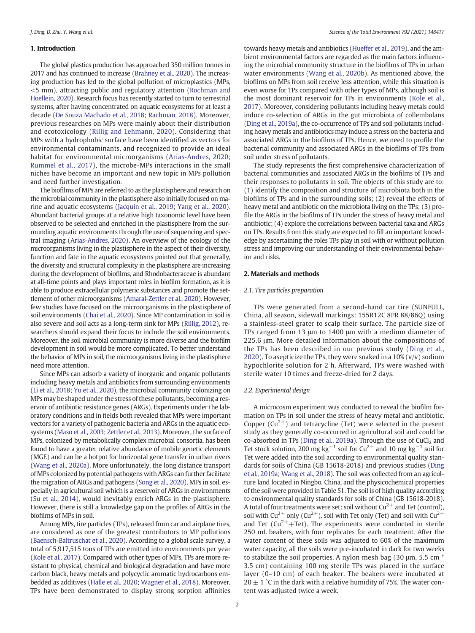#### 1. Introduction

The global plastics production has approached 350 million tonnes in 2017 and has continued to increase [\(Brahney et al., 2020\)](#page-7-0). The increasing production has led to the global pollution of microplastics (MPs, <5 mm), attracting public and regulatory attention [\(Rochman and](#page-7-0) [Hoellein, 2020\)](#page-7-0). Research focus has recently started to turn to terrestrial systems, after having concentrated on aquatic ecosystems for at least a decade ([De Souza Machado et al., 2018](#page-7-0); [Rachman, 2018](#page-7-0)). Moreover, previous researches on MPs were mainly about their distribution and ecotoxicology ([Rillig and Lehmann, 2020\)](#page-7-0). Considering that MPs with a hydrophobic surface have been identified as vectors for environmental contaminants, and recognized to provide an ideal habitat for environmental microorganisms ([Arias-Andres, 2020](#page-7-0); [Rummel et al., 2017](#page-7-0)), the microbe-MPs interactions in the small niches have become an important and new topic in MPs pollution and need further investigation.

The biofilms of MPs are referred to as the plastisphere and research on the microbial community in the plastisphere also initially focused on marine and aquatic ecosystems ([Jacquin et al., 2019](#page-7-0); [Yang et al., 2020\)](#page-7-0). Abundant bacterial groups at a relative high taxonomic level have been observed to be selected and enriched in the plastisphere from the surrounding aquatic environments through the use of sequencing and spectral imaging [\(Arias-Andres, 2020\)](#page-7-0). An overview of the ecology of the microorganisms living in the plastisphere in the aspect of their diversity, function and fate in the aquatic ecosystems pointed out that generally, the diversity and structural complexity in the plastisphere are increasing during the development of biofilms, and Rhodobacteraceae is abundant at all-time points and plays important roles in biofilm formation, as it is able to produce extracellular polymeric substances and promote the settlement of other microorganisms [\(Amaral-Zettler et al., 2020\)](#page-7-0). However, few studies have focused on the microorganisms in the plastisphere of soil environments ([Chai et al., 2020](#page-7-0)). Since MP contamination in soil is also severe and soil acts as a long-term sink for MPs [\(Rillig, 2012](#page-7-0)), researchers should expand their focus to include the soil environments. Moreover, the soil microbial community is more diverse and the biofilm development in soil would be more complicated. To better understand the behavior of MPs in soil, the microorganisms living in the plastisphere need more attention.

Since MPs can adsorb a variety of inorganic and organic pollutants including heavy metals and antibiotics from surrounding environments ([Li et al., 2018;](#page-7-0) [Yu et al., 2020](#page-8-0)), the microbial community colonizing on MPs may be shaped under the stress of these pollutants, becoming a reservoir of antibiotic resistance genes (ARGs). Experiments under the laboratory conditions and in fields both revealed that MPs were important vectors for a variety of pathogenic bacteria and ARGs in the aquatic ecosystems ([Maso et al., 2003](#page-7-0); [Zettler et al., 2013](#page-8-0)). Moreover, the surface of MPs, colonized by metabolically complex microbial consortia, has been found to have a greater relative abundance of mobile genetic elements (MGE) and can be a hotpot for horizontal gene transfer in urban rivers ([Wang et al., 2020a\)](#page-7-0). More unfortunately, the long distance transport of MPs colonized by potential pathogens with ARGs can further facilitate the migration of ARGs and pathogens ([Song et al., 2020\)](#page-7-0). MPs in soil, especially in agricultural soil which is a reservoir of ARGs in environments ([Su et al., 2014](#page-7-0)), would inevitably enrich ARGs in the plastisphere. However, there is still a knowledge gap on the profiles of ARGs in the biofilms of MPs in soil.

Among MPs, tire particles (TPs), released from car and airplane tires, are considered as one of the greatest contributors to MP pollutions ([Baensch-Baltruschat et al., 2020](#page-7-0)). According to a global scale survey, a total of 5,917,515 tons of TPs are emitted into environments per year ([Kole et al., 2017](#page-7-0)). Compared with other types of MPs, TPs are more resistant to physical, chemical and biological degradation and have more carbon black, heavy metals and polycyclic aromatic hydrocarbons embedded as additives ([Halle et al., 2020](#page-7-0); [Wagner et al., 2018\)](#page-7-0). Moreover, TPs have been demonstrated to display strong sorption affinities towards heavy metals and antibiotics ([Hueffer et al., 2019\)](#page-7-0), and the ambient environmental factors are regarded as the main factors influencing the microbial community structure in the biofilms of TPs in urban water environments [\(Wang et al., 2020b](#page-7-0)). As mentioned above, the biofilms on MPs from soil receive less attention, while this situation is even worse for TPs compared with other types of MPs, although soil is the most dominant reservoir for TPs in environments ([Kole et al.,](#page-7-0) [2017](#page-7-0)). Moreover, considering pollutants including heavy metals could induce co-selection of ARGs in the gut microbiota of collembolans ([Ding et al., 2019a](#page-7-0)), the co-occurrence of TPs and soil pollutants including heavy metals and antibiotics may induce a stress on the bacteria and associated ARGs in the biofilms of TPs. Hence, we need to profile the bacterial community and associated ARGs in the biofilms of TPs from soil under stress of pollutants.

The study represents the first comprehensive characterization of bacterial communities and associated ARGs in the biofilms of TPs and their responses to pollutants in soil. The objects of this study are to: (1) identify the composition and structure of microbiota both in the biofilms of TPs and in the surrounding soils; (2) reveal the effects of heavy metal and antibiotic on the microbiota living on the TPs; (3) profile the ARGs in the biofilms of TPs under the stress of heavy metal and antibiotic; (4) explore the correlations between bacterial taxa and ARGs on TPs. Results from this study are expected to fill an important knowledge by ascertaining the roles TPs play in soil with or without pollution stress and improving our understanding of their environmental behavior and risks.

#### 2. Materials and methods

#### 2.1. Tire particles preparation

TPs were generated from a second-hand car tire (SUNFULL, China, all season, sidewall markings: 155R12C 8PR 88/86Q) using a stainless-steel grater to scalp their surface. The particle size of TPs ranged from 13 μm to 1400 μm with a medium diameter of 225.6 μm. More detailed information about the compositions of the TPs has been described in our previous study [\(Ding et al.,](#page-7-0) [2020\)](#page-7-0). To asepticize the TPs, they were soaked in a 10% (v/v) sodium hypochlorite solution for 2 h. Afterward, TPs were washed with sterile water 10 times and freeze-dried for 2 days.

#### 2.2. Experimental design

A microcosm experiment was conducted to reveal the biofilm formation on TPs in soil under the stress of heavy metal and antibiotic. Copper  $(Cu^{2+})$  and tetracycline (Tet) were selected in the present study as they generally co-occurred in agricultural soil and could be co-absorbed in TPs [\(Ding et al., 2019a](#page-7-0)). Through the use of  $CuCl<sub>2</sub>$  and Tet stock solution, 200 mg kg<sup>-1</sup> soil for Cu<sup>2+</sup> and 10 mg kg<sup>-1</sup> soil for Tet were added into the soil according to environmental quality standards for soils of China (GB 15618-2018) and previous studies ([Ding](#page-7-0) [et al., 2019a](#page-7-0); [Wang et al., 2018](#page-7-0)). The soil was collected from an agriculture land located in Ningbo, China, and the physicochemical properties of the soil were provided in Table S1. The soil is of high quality according to environmental quality standards for soils of China (GB 15618-2018). A total of four treatments were set: soil without  $Cu^{2+}$  and Tet (control), soil with Cu<sup>2+</sup> only (Cu<sup>2+</sup>), soil with Tet only (Tet) and soil with Cu<sup>2+</sup> and Tet ( $Cu^{2+}$ +Tet). The experiments were conducted in sterile 250 mL beakers, with four replicates for each treatment. After the water content of these soils was adjusted to 60% of the maximum water capacity, all the soils were pre-incubated in dark for two weeks to stabilize the soil properties. A nylon mesh bag (30 μm, 5.5 cm \* 3.5 cm) containing 100 mg sterile TPs was placed in the surface layer (0–10 cm) of each beaker. The beakers were incubated at  $20 \pm 1$  °C in the dark with a relative humidity of 75%. The water content was adjusted twice a week.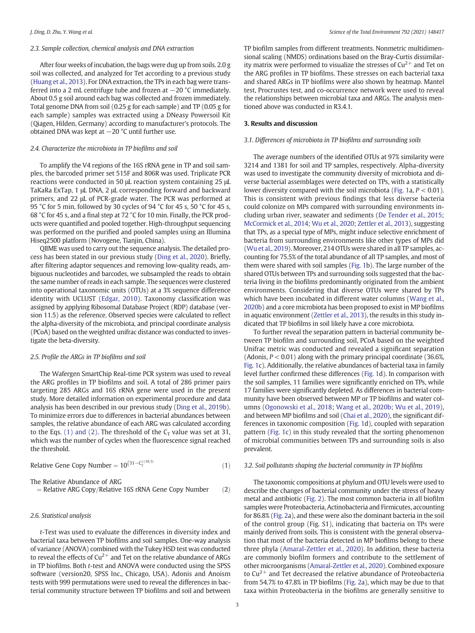### 2.3. Sample collection, chemical analysis and DNA extraction

After four weeks of incubation, the bags were dug up from soils. 2.0 g soil was collected, and analyzed for Tet according to a previous study ([Huang et al., 2013\)](#page-7-0). For DNA extraction, the TPs in each bag were transferred into a 2 mL centrifuge tube and frozen at −20 °C immediately. About 0.5 g soil around each bag was collected and frozen immediately. Total genome DNA from soil (0.25 g for each sample) and TP (0.05 g for each sample) samples was extracted using a DNeasy Powersoil Kit (Qiagen, Hilden, Germany) according to manufacturer's protocols. The obtained DNA was kept at −20 °C until further use.

# 2.4. Characterize the microbiota in TP biofilms and soil

To amplify the V4 regions of the 16S rRNA gene in TP and soil samples, the barcoded primer set 515F and 806R was used. Triplicate PCR reactions were conducted in 50 μL reaction system containing 25 μL TaKaRa ExTap, 1 μL DNA, 2 μL corresponding forward and backward primers, and 22 μL of PCR-grade water. The PCR was performed at 95 °C for 5 min, followed by 30 cycles of 94 °C for 45 s, 50 °C for 45 s, 68 °C for 45 s, and a final step at 72 °C for 10 min. Finally, the PCR products were quantified and pooled together. High-throughput sequencing was performed on the purified and pooled samples using an Illumina Hiseq2500 platform (Novogene, Tianjin, China).

QIIME was used to carry out the sequence analysis. The detailed process has been stated in our previous study [\(Ding et al., 2020](#page-7-0)). Briefly, after filtering adaptor sequences and removing low-quality reads, ambiguous nucleotides and barcodes, we subsampled the reads to obtain the same number of reads in each sample. The sequences were clustered into operational taxonomic units (OTUs) at a 3% sequence difference identity with UCLUST [\(Edgar, 2010](#page-7-0)). Taxonomy classification was assigned by applying Ribosomal Database Project (RDP) database (version 11.5) as the reference. Observed species were calculated to reflect the alpha-diversity of the microbiota, and principal coordinate analysis (PCoA) based on the weighted unifrac distance was conducted to investigate the beta-diversity.

#### 2.5. Profile the ARGs in TP biofilms and soil

The Wafergen SmartChip Real-time PCR system was used to reveal the ARG profiles in TP biofilms and soil. A total of 286 primer pairs targeting 285 ARGs and 16S rRNA gene were used in the present study. More detailed information on experimental procedure and data analysis has been described in our previous study [\(Ding et al., 2019b\)](#page-7-0). To minimize errors due to differences in bacterial abundances between samples, the relative abundance of each ARG was calculated according to the Eqs. (1) and (2). The threshold of the  $C_T$  value was set at 31, which was the number of cycles when the fluorescence signal reached the threshold.

Relative Gene Copy Number = 
$$
10^{(31-C_T^{1/(10/3)})}
$$
 (1)

The Relative Abundance of ARG

$$
= Relative ARG Copy/Relative 16S rRNA Gene Copy Number (2)
$$

#### 2.6. Statistical analysis

t-Test was used to evaluate the differences in diversity index and bacterial taxa between TP biofilms and soil samples. One-way analysis of variance (ANOVA) combined with the Tukey HSD test was conducted to reveal the effects of  $Cu^{2+}$  and Tet on the relative abundance of ARGs in TP biofilms. Both t-test and ANOVA were conducted using the SPSS software (version20, SPSS Inc., Chicago, USA). Adonis and Anoism tests with 999 permutations were used to reveal the differences in bacterial community structure between TP biofilms and soil and between TP biofilm samples from different treatments. Nonmetric multidimensional scaling (NMDS) ordinations based on the Bray-Curtis dissimilarity matrix were performed to visualize the stresses of  $Cu^{2+}$  and Tet on the ARG profiles in TP biofilms. These stresses on each bacterial taxa and shared ARGs in TP biofilms were also shown by heatmap. Mantel test, Procrustes test, and co-occurrence network were used to reveal the relationships between microbial taxa and ARGs. The analysis mentioned above was conducted in R3.4.1.

#### 3. Results and discussion

#### 3.1. Differences of microbiota in TP biofilms and surrounding soils

The average numbers of the identified OTUs at 97% similarity were 3214 and 1381 for soil and TP samples, respectively. Alpha-diversity was used to investigate the community diversity of microbiota and diverse bacterial assemblages were detected on TPs, with a statistically lower diversity compared with the soil microbiota [\(Fig. 1](#page-3-0)a,  $P < 0.01$ ). This is consistent with previous findings that less diverse bacteria could colonize on MPs compared with surrounding environments including urban river, seawater and sediments ([De Tender et al., 2015](#page-7-0); [McCormick et al., 2014;](#page-7-0) [Wu et al., 2020](#page-7-0); [Zettler et al., 2013](#page-8-0)), suggesting that TPs, as a special type of MPs, might induce selective enrichment of bacteria from surrounding environments like other types of MPs did ([Wu et al., 2019](#page-7-0)). Moreover, 214 OTUs were shared in all TP samples, accounting for 75.5% of the total abundance of all TP samples, and most of them were shared with soil samples ([Fig. 1](#page-3-0)b). The large number of the shared OTUs between TPs and surrounding soils suggested that the bacteria living in the biofilms predominantly originated from the ambient environments. Considering that diverse OTUs were shared by TPs which have been incubated in different water columns ([Wang et al.,](#page-7-0) [2020b](#page-7-0)) and a core microbiota has been proposed to exist in MP biofilms in aquatic environment ([Zettler et al., 2013\)](#page-8-0), the results in this study indicated that TP biofilms in soil likely have a core microbiota.

To further reveal the separation pattern in bacterial community between TP biofilm and surrounding soil, PCoA based on the weighted Unifrac metric was conducted and revealed a significant separation (Adonis,  $P < 0.01$ ) along with the primary principal coordinate (36.6%, [Fig. 1c](#page-3-0)). Additionally, the relative abundances of bacterial taxa in family level further confirmed these differences ([Fig. 1d](#page-3-0)). In comparison with the soil samples, 11 families were significantly enriched on TPs, while 17 families were significantly depleted. As differences in bacterial community have been observed between MP or TP biofilms and water columns ([Ogonowski et al., 2018;](#page-7-0) [Wang et al., 2020b;](#page-7-0) [Wu et al., 2019\)](#page-7-0), and between MP biofilms and soil [\(Chai et al., 2020\)](#page-7-0), the significant differences in taxonomic composition [\(Fig. 1](#page-3-0)d), coupled with separation pattern ([Fig. 1](#page-3-0)c) in this study revealed that the sorting phenomenon of microbial communities between TPs and surrounding soils is also prevalent.

#### 3.2. Soil pollutants shaping the bacterial community in TP biofilms

The taxonomic compositions at phylum and OTU levels were used to describe the changes of bacterial community under the stress of heavy metal and antibiotic [\(Fig. 2](#page-4-0)). The most common bacteria in all biofilm samples were Proteobacteria, Actinobacteria and Firmicutes, accounting for 86.8% [\(Fig. 2](#page-4-0)a), and these were also the dominant bacteria in the soil of the control group (Fig. S1), indicating that bacteria on TPs were mainly derived from soils. This is consistent with the general observation that most of the bacteria detected in MP biofilms belong to these three phyla ([Amaral-Zettler et al., 2020\)](#page-7-0). In addition, these bacteria are commonly biofilm formers and contribute to the settlement of other microorganisms ([Amaral-Zettler et al., 2020](#page-7-0)). Combined exposure to  $Cu<sup>2+</sup>$  and Tet decreased the relative abundance of Proteobacteria from 54.7% to 47.8% in TP biofilms [\(Fig. 2](#page-4-0)a), which may be due to that taxa within Proteobacteria in the biofilms are generally sensitive to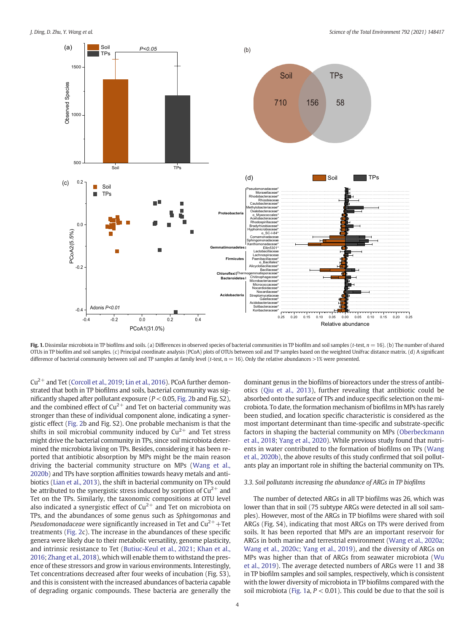<span id="page-3-0"></span>

Fig. 1. Dissimilar microbiota in TP biofilms and soils. (a) Differences in observed species of bacterial communities in TP biofilm and soil samples (t-test,  $n = 16$ ). (b) The number of shared OTUs in TP biofilm and soil samples. (c) Principal coordinate analysis (PCoA) plots of OTUs between soil and TP samples based on the weighted UniFrac distance matrix. (d) A significant difference of bacterial community between soil and TP samples at family level (t-test, n = 16). Only the relative abundances >1% were presented.

 $Cu^{2+}$  and Tet [\(Corcoll et al., 2019](#page-7-0); [Lin et al., 2016](#page-7-0)). PCoA further demonstrated that both in TP biofilms and soils, bacterial community was significantly shaped after pollutant exposure ( $P < 0.05$ , [Fig. 2](#page-4-0)b and Fig. S2), and the combined effect of  $Cu^{2+}$  and Tet on bacterial community was stronger than these of individual component alone, indicating a synergistic effect [\(Fig. 2](#page-4-0)b and Fig. S2). One probable mechanism is that the shifts in soil microbial community induced by  $Cu^{2+}$  and Tet stress might drive the bacterial community in TPs, since soil microbiota determined the microbiota living on TPs. Besides, considering it has been reported that antibiotic absorption by MPs might be the main reason driving the bacterial community structure on MPs ([Wang et al.,](#page-7-0) [2020b](#page-7-0)) and TPs have sorption affinities towards heavy metals and antibiotics ([Lian et al., 2013\)](#page-7-0), the shift in bacterial community on TPs could be attributed to the synergistic stress induced by sorption of  $Cu^{2+}$  and Tet on the TPs. Similarly, the taxonomic compositions at OTU level also indicated a synergistic effect of  $Cu^{2+}$  and Tet on microbiota on TPs, and the abundances of some genus such as Sphingomonas and *Pseudomonadaceae* were significantly increased in Tet and  $Cu^{2+} + Tet$ treatments ([Fig. 2](#page-4-0)c). The increase in the abundances of these specific genera were likely due to their metabolic versatility, genome plasticity, and intrinsic resistance to Tet ([Butiuc-Keul et al., 2021](#page-7-0); [Khan et al.,](#page-7-0) [2016;](#page-7-0) [Zhang et al., 2018](#page-8-0)), which will enable them to withstand the presence of these stressors and grow in various environments. Interestingly, Tet concentrations decreased after four weeks of incubation (Fig. S3), and this is consistent with the increased abundances of bacteria capable of degrading organic compounds. These bacteria are generally the dominant genus in the biofilms of bioreactors under the stress of antibiotics ([Qiu et al., 2013](#page-7-0)), further revealing that antibiotic could be absorbed onto the surface of TPs and induce specific selection on the microbiota. To date, the formation mechanism of biofilms in MPs has rarely been studied, and location specific characteristic is considered as the most important determinant than time-specific and substrate-specific factors in shaping the bacterial community on MPs [\(Oberbeckmann](#page-7-0) [et al., 2018](#page-7-0); [Yang et al., 2020\)](#page-7-0). While previous study found that nutrients in water contributed to the formation of biofilms on TPs ([Wang](#page-7-0) [et al., 2020b\)](#page-7-0), the above results of this study confirmed that soil pollutants play an important role in shifting the bacterial community on TPs.

#### 3.3. Soil pollutants increasing the abundance of ARGs in TP biofilms

The number of detected ARGs in all TP biofilms was 26, which was lower than that in soil (75 subtype ARGs were detected in all soil samples). However, most of the ARGs in TP biofilms were shared with soil ARGs (Fig. S4), indicating that most ARGs on TPs were derived from soils. It has been reported that MPs are an important reservoir for ARGs in both marine and terrestrial environment [\(Wang et al., 2020a](#page-7-0); [Wang et al., 2020c](#page-7-0); [Yang et al., 2019](#page-7-0)), and the diversity of ARGs on MPs was higher than that of ARGs from seawater microbiota [\(Wu](#page-7-0) [et al., 2019](#page-7-0)). The average detected numbers of ARGs were 11 and 38 in TP biofilm samples and soil samples, respectively, which is consistent with the lower diversity of microbiota in TP biofilms compared with the soil microbiota (Fig. 1a,  $P < 0.01$ ). This could be due to that the soil is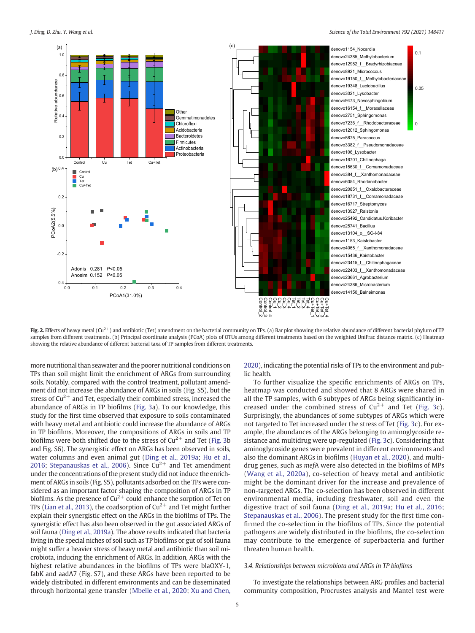<span id="page-4-0"></span>

Fig. 2. Effects of heavy metal (Cu<sup>2+</sup>) and antibiotic (Tet) amendment on the bacterial community on TPs. (a) Bar plot showing the relative abundance of different bacterial phylum of TP samples from different treatments. (b) Principal coordinate analysis (PCoA) plots of OTUs among different treatments based on the weighted UniFrac distance matrix. (c) Heatmap showing the relative abundance of different bacterial taxa of TP samples from different treatments.

more nutritional than seawater and the poorer nutritional conditions on TPs than soil might limit the enrichment of ARGs from surrounding soils. Notably, compared with the control treatment, pollutant amendment did not increase the abundance of ARGs in soils (Fig. S5), but the stress of  $Cu^{2+}$  and Tet, especially their combined stress, increased the abundance of ARGs in TP biofilms ([Fig. 3a](#page-5-0)). To our knowledge, this study for the first time observed that exposure to soils contaminated with heavy metal and antibiotic could increase the abundance of ARGs in TP biofilms. Moreover, the compositions of ARGs in soils and TP biofilms were both shifted due to the stress of  $Cu^{2+}$  and Tet [\(Fig. 3b](#page-5-0)) and Fig. S6). The synergistic effect on ARGs has been observed in soils, water columns and even animal gut ([Ding et al., 2019a;](#page-7-0) [Hu et al.,](#page-7-0) [2016;](#page-7-0) [Stepanauskas et al., 2006\)](#page-7-0). Since  $Cu^{2+}$  and Tet amendment under the concentrations of the present study did not induce the enrichment of ARGs in soils (Fig. S5), pollutants adsorbed on the TPs were considered as an important factor shaping the composition of ARGs in TP biofilms. As the presence of  $Cu^{2+}$  could enhance the sorption of Tet on TPs [\(Lian et al., 2013\)](#page-7-0), the coadsorption of  $Cu^{2+}$  and Tet might further explain their synergistic effect on the ARGs in the biofilms of TPs. The synergistic effect has also been observed in the gut associated ARGs of soil fauna ([Ding et al., 2019a\)](#page-7-0). The above results indicated that bacteria living in the special niches of soil such as TP biofilms or gut of soil fauna might suffer a heavier stress of heavy metal and antibiotic than soil microbiota, inducing the enrichment of ARGs. In addition, ARGs with the highest relative abundances in the biofilms of TPs were blaOXY-1, fabK and aadA7 (Fig. S7), and these ARGs have been reported to be widely distributed in different environments and can be disseminated through horizontal gene transfer ([Mbelle et al., 2020](#page-7-0); [Xu and Chen,](#page-7-0)

[2020\)](#page-7-0), indicating the potential risks of TPs to the environment and public health.

To further visualize the specific enrichments of ARGs on TPs, heatmap was conducted and showed that 8 ARGs were shared in all the TP samples, with 6 subtypes of ARGs being significantly increased under the combined stress of  $Cu^{2+}$  and Tet [\(Fig. 3c](#page-5-0)). Surprisingly, the abundances of some subtypes of ARGs which were not targeted to Tet increased under the stress of Tet ([Fig. 3](#page-5-0)c). For example, the abundances of the ARGs belonging to aminoglycoside resistance and multidrug were up-regulated ([Fig. 3](#page-5-0)c). Considering that aminoglycoside genes were prevalent in different environments and also the dominant ARGs in biofilms ([Huyan et al., 2020](#page-7-0)), and multidrug genes, such as mefA were also detected in the biofilms of MPs ([Wang et al., 2020a](#page-7-0)), co-selection of heavy metal and antibiotic might be the dominant driver for the increase and prevalence of non-targeted ARGs. The co-selection has been observed in different environmental media, including freshwater, soil and even the digestive tract of soil fauna ([Ding et al., 2019a](#page-7-0); [Hu et al., 2016](#page-7-0); [Stepanauskas et al., 2006\)](#page-7-0). The present study for the first time confirmed the co-selection in the biofilms of TPs. Since the potential pathogens are widely distributed in the biofilms, the co-selection may contribute to the emergence of superbacteria and further threaten human health.

# 3.4. Relationships between microbiota and ARGs in TP biofilms

To investigate the relationships between ARG profiles and bacterial community composition, Procrustes analysis and Mantel test were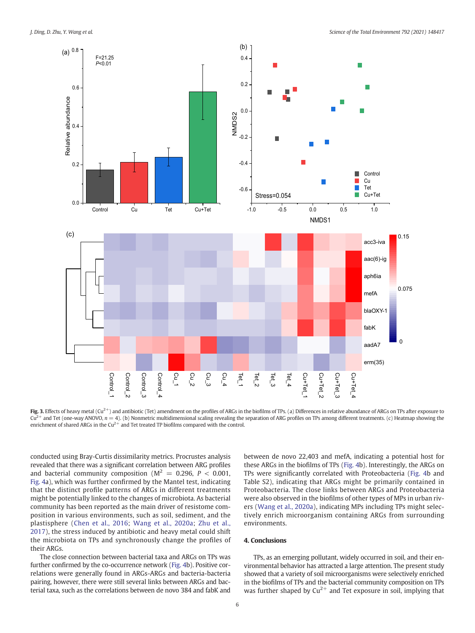<span id="page-5-0"></span>

Fig. 3. Effects of heavy metal ( $Cu<sup>2+</sup>$ ) and antibiotic (Tet) amendment on the profiles of ARGs in the biofilms of TPs. (a) Differences in relative abundance of ARGs on TPs after exposure to  $Cu<sup>2+</sup>$  and Tet (one-way ANOVO,  $n = 4$ ). (b) Nonmetric multidimensional scaling revealing the separation of ARG profiles on TPs among different treatments. (c) Heatmap showing the enrichment of shared ARGs in the  $Cu^{2+}$  and Tet treated TP biofilms compared with the control.

conducted using Bray-Curtis dissimilarity metrics. Procrustes analysis revealed that there was a significant correlation between ARG profiles and bacterial community composition ( $M^2 = 0.296$ ,  $P < 0.001$ , [Fig. 4a](#page-6-0)), which was further confirmed by the Mantel test, indicating that the distinct profile patterns of ARGs in different treatments might be potentially linked to the changes of microbiota. As bacterial community has been reported as the main driver of resistome composition in various environments, such as soil, sediment, and the plastisphere ([Chen et al., 2016;](#page-7-0) [Wang et al., 2020a](#page-7-0); [Zhu et al.,](#page-8-0) [2017\)](#page-8-0), the stress induced by antibiotic and heavy metal could shift the microbiota on TPs and synchronously change the profiles of their ARGs.

The close connection between bacterial taxa and ARGs on TPs was further confirmed by the co-occurrence network [\(Fig. 4b](#page-6-0)). Positive correlations were generally found in ARGs-ARGs and bacteria-bacteria pairing, however, there were still several links between ARGs and bacterial taxa, such as the correlations between de novo 384 and fabK and between de novo 22,403 and mefA, indicating a potential host for these ARGs in the biofilms of TPs [\(Fig. 4](#page-6-0)b). Interestingly, the ARGs on TPs were significantly correlated with Proteobacteria ([Fig. 4](#page-6-0)b and Table S2), indicating that ARGs might be primarily contained in Proteobacteria. The close links between ARGs and Proteobacteria were also observed in the biofilms of other types of MPs in urban rivers [\(Wang et al., 2020a\)](#page-7-0), indicating MPs including TPs might selectively enrich microorganism containing ARGs from surrounding environments.

# 4. Conclusions

TPs, as an emerging pollutant, widely occurred in soil, and their environmental behavior has attracted a large attention. The present study showed that a variety of soil microorganisms were selectively enriched in the biofilms of TPs and the bacterial community composition on TPs was further shaped by  $Cu^{2+}$  and Tet exposure in soil, implying that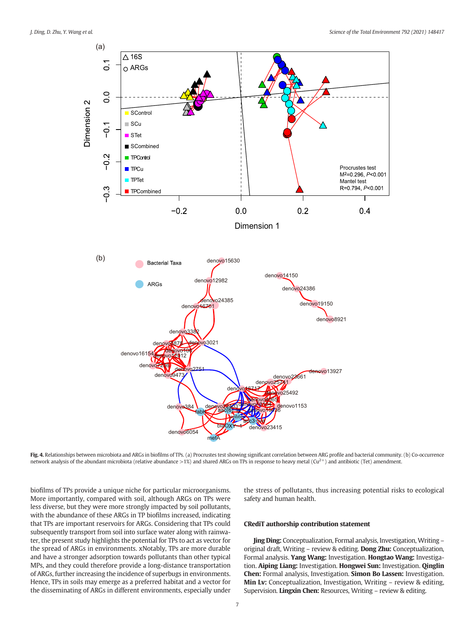<span id="page-6-0"></span>

Fig. 4. Relationships between microbiota and ARGs in biofilms of TPs. (a) Procrustes test showing significant correlation between ARG profile and bacterial community. (b) Co-occurrence network analysis of the abundant microbiota (relative abundance  $>1\%$ ) and shared ARGs on TPs in response to heavy metal (Cu<sup>2+</sup>) and antibiotic (Tet) amendment.

biofilms of TPs provide a unique niche for particular microorganisms. More importantly, compared with soil, although ARGs on TPs were less diverse, but they were more strongly impacted by soil pollutants, with the abundance of these ARGs in TP biofilms increased, indicating that TPs are important reservoirs for ARGs. Considering that TPs could subsequently transport from soil into surface water along with rainwater, the present study highlights the potential for TPs to act as vector for the spread of ARGs in environments. xNotably, TPs are more durable and have a stronger adsorption towards pollutants than other typical MPs, and they could therefore provide a long-distance transportation of ARGs, further increasing the incidence of superbugs in environments. Hence, TPs in soils may emerge as a preferred habitat and a vector for the disseminating of ARGs in different environments, especially under the stress of pollutants, thus increasing potential risks to ecological safety and human health.

## CRediT authorship contribution statement

Jing Ding: Conceptualization, Formal analysis, Investigation, Writing – original draft, Writing – review & editing. Dong Zhu: Conceptualization, Formal analysis. Yang Wang: Investigation. Hongtao Wang: Investigation. Aiping Liang: Investigation. Hongwei Sun: Investigation. Qinglin Chen: Formal analysis, Investigation. Simon Bo Lassen: Investigation. Min Lv: Conceptualization, Investigation, Writing – review & editing, Supervision. Lingxin Chen: Resources, Writing – review & editing.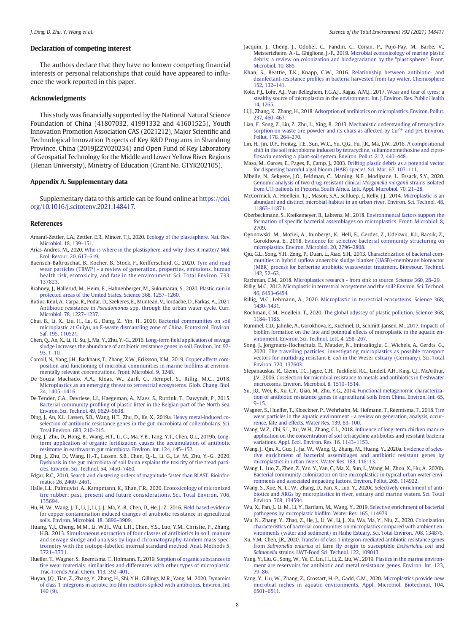#### <span id="page-7-0"></span>Declaration of competing interest

The authors declare that they have no known competing financial interests or personal relationships that could have appeared to influence the work reported in this paper.

#### Acknowledgments

This study was financially supported by the National Natural Science Foundation of China (41807032, 41991332 and 41601525), Youth Innovation Promotion Association CAS (2021212), Major Scientific and Technological Innovation Projects of Key R&D Programs in Shandong Province, China (2019JZZY020234) and Open Fund of Key Laboratory of Geospatial Technology for the Middle and Lower Yellow River Regions (Henan University), Ministry of Education (Grant No. GTYR202105).

#### Appendix A. Supplementary data

Supplementary data to this article can be found online at [https://doi.](https://doi.org/10.1016/j.scitotenv.2021.148417) [org/10.1016/j.scitotenv.2021.148417.](https://doi.org/10.1016/j.scitotenv.2021.148417)

#### References

- Amaral-Zettler, L.A., Zettler, E.R., Mincer, T.J., 2020. [Ecology of the plastisphere. Nat. Rev.](http://refhub.elsevier.com/S0048-9697(21)03488-4/rf0005) [Microbiol. 18, 139](http://refhub.elsevier.com/S0048-9697(21)03488-4/rf0005)–151.
- Arias-Andres, M., 2020. [Who is where in the plastisphere, and why does it matter? Mol.](http://refhub.elsevier.com/S0048-9697(21)03488-4/rf0010) [Ecol. Resour. 20, 617](http://refhub.elsevier.com/S0048-9697(21)03488-4/rf0010)–619.
- Baensch-Baltruschat, B., Kocher, B., Stock, F., Reifferscheid, G., 2020. [Tyre and road](http://refhub.elsevier.com/S0048-9697(21)03488-4/rf0015) [wear particles \(TRWP\) - a review of generation, properties, emissions, human](http://refhub.elsevier.com/S0048-9697(21)03488-4/rf0015) [health risk, ecotoxicity, and fate in the environment. Sci. Total Environ. 733,](http://refhub.elsevier.com/S0048-9697(21)03488-4/rf0015) [137823.](http://refhub.elsevier.com/S0048-9697(21)03488-4/rf0015)
- Brahney, J., Hallerud, M., Heim, E., Hahnenberger, M., Sukumaran, S., 2020. [Plastic rain in](http://refhub.elsevier.com/S0048-9697(21)03488-4/rf0020) [protected areas of the United States. Science 368, 1257](http://refhub.elsevier.com/S0048-9697(21)03488-4/rf0020)–1260.
- Butiuc-Keul, A., Carpa, R., Podar, D., Szekeres, E., Muntean, V., Iordache, D., Farkas, A., 2021. Antibiotic resistance in Pseudomonas [spp. through the urban water cycle. Curr.](http://refhub.elsevier.com/S0048-9697(21)03488-4/rf0025) [Microbiol. 78, 1227](http://refhub.elsevier.com/S0048-9697(21)03488-4/rf0025)–1237.
- Chai, B., Li, X., Liu, H., Lu, G., Dang, Z., Yin, H., 2020. [Bacterial communities on soil](http://refhub.elsevier.com/S0048-9697(21)03488-4/rf0030) [microplastic at Guiyu, an E-waste dismantling zone of China. Ecotoxicol. Environ.](http://refhub.elsevier.com/S0048-9697(21)03488-4/rf0030) [Saf. 195, 110521.](http://refhub.elsevier.com/S0048-9697(21)03488-4/rf0030)
- Chen, Q., An, X., Li, H., Su, J., Ma, Y., Zhu, Y.-G., 2016. Long-term fi[eld application of sewage](http://refhub.elsevier.com/S0048-9697(21)03488-4/rf0035) [sludge increases the abundance of antibiotic resistance genes in soil. Environ. Int. 92-](http://refhub.elsevier.com/S0048-9697(21)03488-4/rf0035) [93, 1](http://refhub.elsevier.com/S0048-9697(21)03488-4/rf0035)–10.
- Corcoll, N., Yang, J.H., Backhaus, T., Zhang, X.W., Eriksson, K.M., 2019. [Copper affects com](http://refhub.elsevier.com/S0048-9697(21)03488-4/rf0040)[position and functioning of microbial communities in marine bio](http://refhub.elsevier.com/S0048-9697(21)03488-4/rf0040)films at environ[mentally relevant concentrations. Front. Microbiol. 9, 3248.](http://refhub.elsevier.com/S0048-9697(21)03488-4/rf0040)
- De Souza Machado, A.A., Kloas, W., Zarfl, C., Hempel, S., Rillig, M.C., 2018. [Microplastics as an emerging threat to terrestrial ecosystems. Glob. Chang. Biol.](http://refhub.elsevier.com/S0048-9697(21)03488-4/rf0045) [24, 1405](http://refhub.elsevier.com/S0048-9697(21)03488-4/rf0045)–1416.
- De Tender, C.A., Devriese, L.I., Haegeman, A., Maes, S., Ruttink, T., Dawyndt, P., 2015. Bacterial community profi[ling of plastic litter in the Belgian part of the North Sea.](http://refhub.elsevier.com/S0048-9697(21)03488-4/rf0050) [Environ. Sci. Technol. 49, 9629](http://refhub.elsevier.com/S0048-9697(21)03488-4/rf0050)–9638.
- Ding, J., An, X.L., Lassen, S.B., Wang, H.T., Zhu, D., Ke, X., 2019a. [Heavy metal-induced co](http://refhub.elsevier.com/S0048-9697(21)03488-4/rf0055)[selection of antibiotic resistance genes in the gut microbiota of collembolans. Sci.](http://refhub.elsevier.com/S0048-9697(21)03488-4/rf0055) [Total Environ. 683, 210](http://refhub.elsevier.com/S0048-9697(21)03488-4/rf0055)–215.
- Ding, J., Zhu, D., Hong, B., Wang, H.T., Li, G., Ma, Y.B., Tang, Y.T., Chen, Q.L., 2019b. [Long](http://refhub.elsevier.com/S0048-9697(21)03488-4/rf0060)[term application of organic fertilization causes the accumulation of antibiotic](http://refhub.elsevier.com/S0048-9697(21)03488-4/rf0060) [resistome in earthworm gut microbiota. Environ. Int. 124, 145](http://refhub.elsevier.com/S0048-9697(21)03488-4/rf0060)–152.
- Ding, J., Zhu, D., Wang, H.-T., Lassen, S.B., Chen, Q.-L., Li, G., Lv, M., Zhu, Y.-G., 2020. [Dysbiosis in the gut microbiota of soil fauna explains the toxicity of tire tread parti](http://refhub.elsevier.com/S0048-9697(21)03488-4/rf0065)[cles. Environ. Sci. Technol. 54, 7450](http://refhub.elsevier.com/S0048-9697(21)03488-4/rf0065)–7460.
- Edgar, R.C., 2010. [Search and clustering orders of magnitude faster than BLAST. Bioinfor](http://refhub.elsevier.com/S0048-9697(21)03488-4/rf0070)[matics 26, 2460](http://refhub.elsevier.com/S0048-9697(21)03488-4/rf0070)–2461.
- Halle, L.L., Palmqvist, A., Kampmann, K., Khan, F.R., 2020. [Ecotoxicology of micronized](http://refhub.elsevier.com/S0048-9697(21)03488-4/rf0075) [tire rubber: past, present and future considerations. Sci. Total Environ. 706,](http://refhub.elsevier.com/S0048-9697(21)03488-4/rf0075) [135694.](http://refhub.elsevier.com/S0048-9697(21)03488-4/rf0075)
- Hu, H.-W., Wang, J.-T., Li, J., Li, J.-J., Ma, Y.-B., Chen, D., He, J.-Z., 2016. [Field-based evidence](http://refhub.elsevier.com/S0048-9697(21)03488-4/rf0080) [for copper contamination induced changes of antibiotic resistance in agricultural](http://refhub.elsevier.com/S0048-9697(21)03488-4/rf0080) [soils. Environ. Microbiol. 18, 3896](http://refhub.elsevier.com/S0048-9697(21)03488-4/rf0080)–3909.
- Huang, Y.J., Cheng, M.M., Li, W.H., Wu, L.H., Chen, Y.S., Luo, Y.M., Christie, P., Zhang, H.B., 2013. [Simultaneous extraction of four classes of antibiotics in soil, manure](http://refhub.elsevier.com/S0048-9697(21)03488-4/rf0085) [and sewage sludge and analysis by liquid chromatography-tandem mass spec](http://refhub.elsevier.com/S0048-9697(21)03488-4/rf0085)[trometry with the isotope-labelled internal standard method. Anal. Methods 5,](http://refhub.elsevier.com/S0048-9697(21)03488-4/rf0085) 3721–[3731.](http://refhub.elsevier.com/S0048-9697(21)03488-4/rf0085)
- Hueffer, T., Wagner, S., Reemtsma, T., Hofmann, T., 2019. [Sorption of organic substances to](http://refhub.elsevier.com/S0048-9697(21)03488-4/rf0090) [tire wear materials: similarities and differences with other types of microplastic.](http://refhub.elsevier.com/S0048-9697(21)03488-4/rf0090) [Trac-Trends Anal. Chem. 113, 392](http://refhub.elsevier.com/S0048-9697(21)03488-4/rf0090)–401.
- Huyan, J.Q., Tian, Z., Zhang, Y., Zhang, H., Shi, Y.H., Gillings, M.R., Yang, M., 2020. [Dynamics](http://refhub.elsevier.com/S0048-9697(21)03488-4/rf0095) of class 1 integrons in aerobic bio fi[lm reactors spiked with antibiotics. Environ. Int.](http://refhub.elsevier.com/S0048-9697(21)03488-4/rf0095) [140 \(9\).](http://refhub.elsevier.com/S0048-9697(21)03488-4/rf0095)
- Jacquin, J., Cheng, J., Odobel, C., Pandin, C., Conan, P., Pujo-Pay, M., Barbe, V., Meistertzheim, A.-L., Ghiglione, J.-F., 2019. [Microbial ecotoxicology of marine plastic](http://refhub.elsevier.com/S0048-9697(21)03488-4/rf0100) [debris: a review on colonization and biodegradation by the "plastisphere". Front.](http://refhub.elsevier.com/S0048-9697(21)03488-4/rf0100) [Microbiol. 10, 865](http://refhub.elsevier.com/S0048-9697(21)03488-4/rf0100).
- Khan, S., Beattie, T.K., Knapp, C.W., 2016. [Relationship between antibiotic- and](http://refhub.elsevier.com/S0048-9697(21)03488-4/rf0105) disinfectant-resistance profi[les in bacteria harvested from tap water. Chemosphere](http://refhub.elsevier.com/S0048-9697(21)03488-4/rf0105) [152, 132](http://refhub.elsevier.com/S0048-9697(21)03488-4/rf0105)–141.
- Kole, P.J., Lohr, A.J., Van Belleghem, F.G.A.J., Ragas, A.M.J., 2017. [Wear and tear of tyres: a](http://refhub.elsevier.com/S0048-9697(21)03488-4/rf0110) [stealthy source of microplastics in the environment. Int. J. Environ. Res. Public Health](http://refhub.elsevier.com/S0048-9697(21)03488-4/rf0110) [14, 1265.](http://refhub.elsevier.com/S0048-9697(21)03488-4/rf0110)
- Li, J., Zhang, K., Zhang, H., 2018. [Adsorption of antibiotics on microplastics. Environ. Pollut.](http://refhub.elsevier.com/S0048-9697(21)03488-4/rf0115) [237, 460](http://refhub.elsevier.com/S0048-9697(21)03488-4/rf0115)–467.
- Lian, F., Song, Z., Liu, Z., Zhu, L., Xing, B., 2013. [Mechanistic understanding of tetracycline](http://refhub.elsevier.com/S0048-9697(21)03488-4/rf0120) [sorption](http://refhub.elsevier.com/S0048-9697(21)03488-4/rf0120) [on](http://refhub.elsevier.com/S0048-9697(21)03488-4/rf0120) [waste](http://refhub.elsevier.com/S0048-9697(21)03488-4/rf0120) [tire](http://refhub.elsevier.com/S0048-9697(21)03488-4/rf0120) [powder](http://refhub.elsevier.com/S0048-9697(21)03488-4/rf0120) [and](http://refhub.elsevier.com/S0048-9697(21)03488-4/rf0120) [its](http://refhub.elsevier.com/S0048-9697(21)03488-4/rf0120) [chars](http://refhub.elsevier.com/S0048-9697(21)03488-4/rf0120) [as](http://refhub.elsevier.com/S0048-9697(21)03488-4/rf0120) [affected](http://refhub.elsevier.com/S0048-9697(21)03488-4/rf0120) [by](http://refhub.elsevier.com/S0048-9697(21)03488-4/rf0120)  $Cu^{2+}$  [and pH. Environ.](http://refhub.elsevier.com/S0048-9697(21)03488-4/rf0120) [Pollut. 178, 264](http://refhub.elsevier.com/S0048-9697(21)03488-4/rf0120)–270.
- Lin, H., Jin, D.F., Freitag, T.E., Sun, W.C., Yu, Q.G., Fu, J.R., Ma, J.W., 2016. [A compositional](http://refhub.elsevier.com/S0048-9697(21)03488-4/rf0125) [shift in the soil microbiome induced by tetracycline, sulfamonomethoxine and cipro](http://refhub.elsevier.com/S0048-9697(21)03488-4/rf0125)fl[oxacin entering a plant-soil system. Environ. Pollut. 212, 440](http://refhub.elsevier.com/S0048-9697(21)03488-4/rf0125)–448.
- Maso, M., Garces, E., Pages, F., Camp, J., 2003. [Drifting plastic debris as a potential vector](http://refhub.elsevier.com/S0048-9697(21)03488-4/rf0130) [for dispersing harmful algal bloom \(HAB\) species. Sci. Mar. 67, 107](http://refhub.elsevier.com/S0048-9697(21)03488-4/rf0130)–111.
- Mbelle, N., Sekyere, J.O., Feldman, C., Maning, N.E., Modipane, L., Essack, S.Y., 2020. [Genomic analysis of two drug-resistant clinical](http://refhub.elsevier.com/S0048-9697(21)03488-4/rf0135) Morganella morganii strains isolated [from UTI patients in Pretoria, South Africa. Lett. Appl. Microbiol. 70, 21](http://refhub.elsevier.com/S0048-9697(21)03488-4/rf0135)–28.
- McCormick, A., Hoellein, T.J., Mason, S.A., Schluep, J., Kelly, J.J., 2014. [Microplastic is an](http://refhub.elsevier.com/S0048-9697(21)03488-4/rf0140) [abundant and distinct microbial habitat in an urban river. Environ. Sci. Technol. 48,](http://refhub.elsevier.com/S0048-9697(21)03488-4/rf0140) [11863](http://refhub.elsevier.com/S0048-9697(21)03488-4/rf0140)–11871.
- Oberbeckmann, S., Kreikemeyer, B., Labrenz, M., 2018. [Environmental factors support the](http://refhub.elsevier.com/S0048-9697(21)03488-4/rf0145) formation of specifi[c bacterial assemblages on microplastics. Front. Microbiol. 8,](http://refhub.elsevier.com/S0048-9697(21)03488-4/rf0145) [2709](http://refhub.elsevier.com/S0048-9697(21)03488-4/rf0145).
- Ogonowski, M., Motiei, A., Ininbergs, K., Hell, E., Gerdes, Z., Udekwu, K.I., Bacsik, Z., Gorokhova, E., 2018. [Evidence for selective bacterial community structuring on](http://refhub.elsevier.com/S0048-9697(21)03488-4/rf0150) [microplastics. Environ. Microbiol. 20, 2796](http://refhub.elsevier.com/S0048-9697(21)03488-4/rf0150)–2808.
- Qiu, G.L., Song, Y.H., Zeng, P., Duan, L., Xiao, S.H., 2013. [Characterization of bacterial com](http://refhub.elsevier.com/S0048-9697(21)03488-4/rf0155)munities in hybrid upfl[ow anaerobic sludge blanket \(UASB\)-membrane bioreactor](http://refhub.elsevier.com/S0048-9697(21)03488-4/rf0155) [\(MBR\) process for berberine antibiotic wastewater treatment. Bioresour. Technol.](http://refhub.elsevier.com/S0048-9697(21)03488-4/rf0155) [142, 52](http://refhub.elsevier.com/S0048-9697(21)03488-4/rf0155)–62.
- Rachman, C.M., 2018. [Microplastics research from sink to source. Science 360, 28](http://refhub.elsevier.com/S0048-9697(21)03488-4/rf0160)–29.
- Rillig, M.C., 2012. [Microplastic in terrestrial ecosystems and the soil? Environ. Sci. Technol.](http://refhub.elsevier.com/S0048-9697(21)03488-4/rf0165) [46, 6453](http://refhub.elsevier.com/S0048-9697(21)03488-4/rf0165)–6454.
- Rillig, M.C., Lehmann, A., 2020. [Microplastic in terrestrial ecosystems. Science 368,](http://refhub.elsevier.com/S0048-9697(21)03488-4/rf0170) [1430](http://refhub.elsevier.com/S0048-9697(21)03488-4/rf0170)–1431.
- Rochman, C.M., Hoellein, T., 2020. [The global odyssey of plastic pollution. Science 368,](http://refhub.elsevier.com/S0048-9697(21)03488-4/rf0175) [1184](http://refhub.elsevier.com/S0048-9697(21)03488-4/rf0175)–1185.
- Rummel, C.D., Jahnke, A., Gorokhova, E., Kuehnel, D., Schmitt-Jansen, M., 2017. [Impacts of](http://refhub.elsevier.com/S0048-9697(21)03488-4/rf0180) biofi[lm formation on the fate and potential effects of microplastic in the aquatic en](http://refhub.elsevier.com/S0048-9697(21)03488-4/rf0180)[vironment. Environ. Sci. Technol. Lett. 4, 258](http://refhub.elsevier.com/S0048-9697(21)03488-4/rf0180)–267.
- Song, J., Jongmans-Hochschulz, E., Mauder, N., Imirzalioglu, C., Wichels, A., Gerdts, G., 2020. [The travelling particles: investigating microplastics as possible transport](http://refhub.elsevier.com/S0048-9697(21)03488-4/rf0185) vectors for multidrug resistant E. coli [in the Weser estuary \(Germany\). Sci. Total](http://refhub.elsevier.com/S0048-9697(21)03488-4/rf0185) [Environ. 720, 137603.](http://refhub.elsevier.com/S0048-9697(21)03488-4/rf0185)
- Stepanauskas, R., Glenn, T.C., Jagoe, C.H., Tuckfield, R.C., Lindell, A.H., King, C.J., McArthur, J.V., 2006. [Coselection for microbial resistance to metals and antibiotics in freshwater](http://refhub.elsevier.com/S0048-9697(21)03488-4/rf0190) [microcosms. Environ. Microbiol. 8, 1510](http://refhub.elsevier.com/S0048-9697(21)03488-4/rf0190)–1514.
- Su, J.Q., Wei, B., Xu, C.Y., Qiao, M., Zhu, Y.G., 2014. [Functional metagenomic characteriza](http://refhub.elsevier.com/S0048-9697(21)03488-4/rf0195)[tion of antibiotic resistance genes in agricultural soils from China. Environ. Int. 65,](http://refhub.elsevier.com/S0048-9697(21)03488-4/rf0195) 9–[15](http://refhub.elsevier.com/S0048-9697(21)03488-4/rf0195).
- Wagner, S., Hueffer, T., Kloeckner, P., Wehrhahn, M., Hofmann, T., Reemtsma, T., 2018. [Tire](http://refhub.elsevier.com/S0048-9697(21)03488-4/rf0200) [wear particles in the aquatic environment - a review on generation, analysis, occur](http://refhub.elsevier.com/S0048-9697(21)03488-4/rf0200)[rence, fate and effects. Water Res. 139, 83](http://refhub.elsevier.com/S0048-9697(21)03488-4/rf0200)–100.
- Wang, W.Z., Chi, S.L., Xu, W.H., Zhang, C.L., 2018. Infl[uence of long-term chicken manure](http://refhub.elsevier.com/S0048-9697(21)03488-4/rf0205) [application on the concentration of soil tetracycline antibiotics and resistant bacteria](http://refhub.elsevier.com/S0048-9697(21)03488-4/rf0205) [variations. Appl. Ecol. Environ. Res. 16, 1143](http://refhub.elsevier.com/S0048-9697(21)03488-4/rf0205)–1153.
- Wang, J., Qin, X., Guo, J., Jia, W., Wang, Q., Zhang, M., Huang, Y., 2020a. [Evidence of selec](http://refhub.elsevier.com/S0048-9697(21)03488-4/rf0210)[tive enrichment of bacterial assemblages and antibiotic resistant genes by](http://refhub.elsevier.com/S0048-9697(21)03488-4/rf0210) [microplastics in urban rivers. Water Res. 183, 116113](http://refhub.elsevier.com/S0048-9697(21)03488-4/rf0210).
- Wang, L., Luo, Z., Zhen, Z., Yan, Y., Yan, C., Ma, X., Sun, L., Wang, M., Zhou, X., Hu, A., 2020b. [Bacterial community colonization on tire microplastics in typical urban water envi](http://refhub.elsevier.com/S0048-9697(21)03488-4/rf0215)[ronments and associated impacting factors. Environ. Pollut. 265, 114922.](http://refhub.elsevier.com/S0048-9697(21)03488-4/rf0215)
- Wang, S., Xue, N., Li, W., Zhang, D., Pan, X., Luo, Y., 2020c. [Selectively enrichment of anti](http://refhub.elsevier.com/S0048-9697(21)03488-4/rf0220)[biotics and ARGs by microplastics in river, estuary and marine waters. Sci. Total](http://refhub.elsevier.com/S0048-9697(21)03488-4/rf0220) [Environ. 708, 134594.](http://refhub.elsevier.com/S0048-9697(21)03488-4/rf0220)
- Wu, X., Pan, J., Li, M., Li, Y., Bartlam, M., Wang, Y., 2019. [Selective enrichment of bacterial](http://refhub.elsevier.com/S0048-9697(21)03488-4/rf0225) [pathogens by microplastic bio](http://refhub.elsevier.com/S0048-9697(21)03488-4/rf0225)film. Water Res. 165, 114979.
- Wu, N., Zhang, Y., Zhao, Z., He, J., Li, W., Li, J., Xu, Wa, Ma, Y., Niu, Z., 2020. [Colonization](http://refhub.elsevier.com/S0048-9697(21)03488-4/rf0230) [characteristics of bacterial communities on microplastics compared with ambient en](http://refhub.elsevier.com/S0048-9697(21)03488-4/rf0230)[vironments \(water and sediment\) in Haihe Estuary. Sci. Total Environ. 708, 134876](http://refhub.elsevier.com/S0048-9697(21)03488-4/rf0230).
- Xu, Y.M., Chen, J.R., 2020. [Transfer of class 1 integron-mediated antibiotic resistance genes](http://refhub.elsevier.com/S0048-9697(21)03488-4/rf0235) from Salmonella enterica of farm fl[y origin to susceptible](http://refhub.elsevier.com/S0048-9697(21)03488-4/rf0235) Escherichia coli and Salmonella [strains. LWT-Food Sci. Technol. 122, 109013.](http://refhub.elsevier.com/S0048-9697(21)03488-4/rf0235)
- Yang, Y., Liu, G., Song, W., Ye, C., Lin, H., Li, Z., Liu, W., 2019. [Plastics in the marine environ](http://refhub.elsevier.com/S0048-9697(21)03488-4/rf0240)[ment are reservoirs for antibiotic and metal resistance genes. Environ. Int. 123,](http://refhub.elsevier.com/S0048-9697(21)03488-4/rf0240) 79–[86.](http://refhub.elsevier.com/S0048-9697(21)03488-4/rf0240)
- Yang, Y., Liu, W., Zhang, Z., Grossart, H.-P., Gadd, G.M., 2020. [Microplastics provide new](http://refhub.elsevier.com/S0048-9697(21)03488-4/rf0245) [microbial niches in aquatic environments. Appl. Microbiol. Biotechnol. 104,](http://refhub.elsevier.com/S0048-9697(21)03488-4/rf0245) [6501](http://refhub.elsevier.com/S0048-9697(21)03488-4/rf0245)–6511.